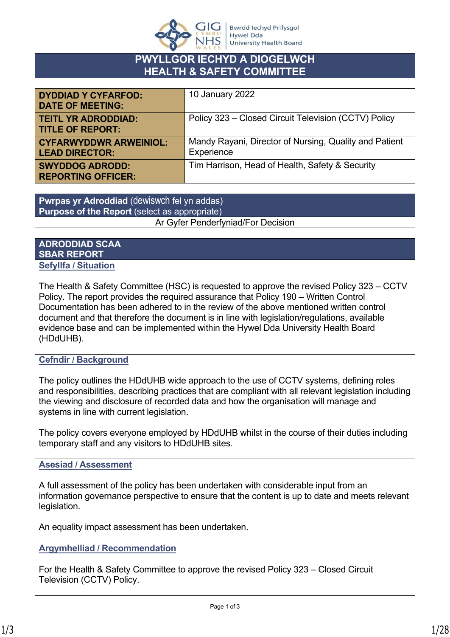

# **PWYLLGOR IECHYD A DIOGELWCH HEALTH & SAFETY COMMITTEE**

| <b>DYDDIAD Y CYFARFOD:</b><br><b>DATE OF MEETING:</b>  | 10 January 2022                                                      |
|--------------------------------------------------------|----------------------------------------------------------------------|
| <b>TEITL YR ADRODDIAD:</b><br><b>TITLE OF REPORT:</b>  | Policy 323 - Closed Circuit Television (CCTV) Policy                 |
| <b>CYFARWYDDWR ARWEINIOL:</b><br><b>LEAD DIRECTOR:</b> | Mandy Rayani, Director of Nursing, Quality and Patient<br>Experience |
| <b>SWYDDOG ADRODD:</b><br><b>REPORTING OFFICER:</b>    | Tim Harrison, Head of Health, Safety & Security                      |

**Pwrpas yr Adroddiad** (dewiswch fel yn addas) **Purpose of the Report** (select as appropriate) Ar Gyfer Penderfyniad/For Decision

### **ADRODDIAD SCAA SBAR REPORT Sefyllfa / Situation**

The Health & Safety Committee (HSC) is requested to approve the revised Policy 323 – CCTV Policy. The report provides the required assurance that Policy 190 – Written Control Documentation has been adhered to in the review of the above mentioned written control document and that therefore the document is in line with legislation/regulations, available evidence base and can be implemented within the Hywel Dda University Health Board (HDdUHB).

# **Cefndir / Background**

The policy outlines the HDdUHB wide approach to the use of CCTV systems, defining roles and responsibilities, describing practices that are compliant with all relevant legislation including the viewing and disclosure of recorded data and how the organisation will manage and systems in line with current legislation.

The policy covers everyone employed by HDdUHB whilst in the course of their duties including temporary staff and any visitors to HDdUHB sites.

# **Asesiad / Assessment**

A full assessment of the policy has been undertaken with considerable input from an information governance perspective to ensure that the content is up to date and meets relevant legislation.

An equality impact assessment has been undertaken.

**Argymhelliad / Recommendation**

For the Health & Safety Committee to approve the revised Policy 323 – Closed Circuit Television (CCTV) Policy.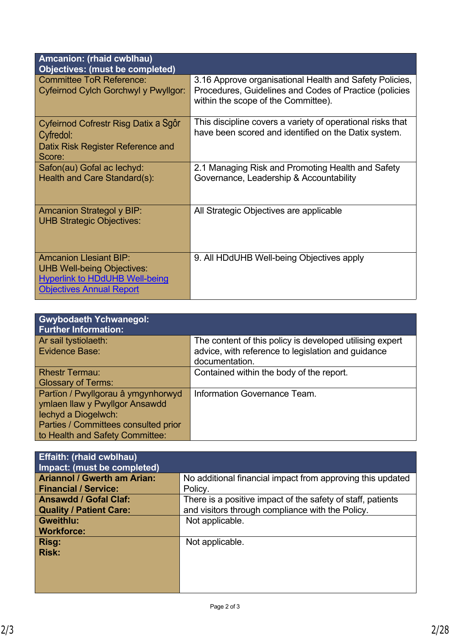| <b>Amcanion: (rhaid cwblhau)</b><br>Objectives: (must be completed)                                                                            |                                                                                                                                                          |
|------------------------------------------------------------------------------------------------------------------------------------------------|----------------------------------------------------------------------------------------------------------------------------------------------------------|
| <b>Committee ToR Reference:</b><br>Cyfeirnod Cylch Gorchwyl y Pwyllgor:                                                                        | 3.16 Approve organisational Health and Safety Policies,<br>Procedures, Guidelines and Codes of Practice (policies<br>within the scope of the Committee). |
| Cyfeirnod Cofrestr Risg Datix a Sgôr<br>Cyfredol:<br>Datix Risk Register Reference and<br>Score:                                               | This discipline covers a variety of operational risks that<br>have been scored and identified on the Datix system.                                       |
| Safon(au) Gofal ac lechyd:<br>Health and Care Standard(s):                                                                                     | 2.1 Managing Risk and Promoting Health and Safety<br>Governance, Leadership & Accountability                                                             |
| <b>Amcanion Strategol y BIP:</b><br><b>UHB Strategic Objectives:</b>                                                                           | All Strategic Objectives are applicable                                                                                                                  |
| <b>Amcanion Llesiant BIP:</b><br><b>UHB Well-being Objectives:</b><br><b>Hyperlink to HDdUHB Well-being</b><br><b>Objectives Annual Report</b> | 9. All HDdUHB Well-being Objectives apply                                                                                                                |

| <b>Gwybodaeth Ychwanegol:</b><br><b>Further Information:</b> |                                                          |
|--------------------------------------------------------------|----------------------------------------------------------|
| Ar sail tystiolaeth:                                         | The content of this policy is developed utilising expert |
| Evidence Base:                                               | advice, with reference to legislation and guidance       |
|                                                              | documentation.                                           |
| <b>Rhestr Termau:</b>                                        | Contained within the body of the report.                 |
| <b>Glossary of Terms:</b>                                    |                                                          |
| Partïon / Pwyllgorau â ymgynhorwyd                           | Information Governance Team.                             |
| ymlaen llaw y Pwyllgor Ansawdd                               |                                                          |
| lechyd a Diogelwch:                                          |                                                          |
| Parties / Committees consulted prior                         |                                                          |
| to Health and Safety Committee:                              |                                                          |

| <b>Effaith: (rhaid cwblhau)</b><br>Impact: (must be completed) |                                                             |  |
|----------------------------------------------------------------|-------------------------------------------------------------|--|
| <b>Ariannol / Gwerth am Arian:</b>                             | No additional financial impact from approving this updated  |  |
| <b>Financial / Service:</b>                                    | Policy.                                                     |  |
| <b>Ansawdd / Gofal Claf:</b>                                   | There is a positive impact of the safety of staff, patients |  |
| <b>Quality / Patient Care:</b>                                 | and visitors through compliance with the Policy.            |  |
| <b>Gweithlu:</b>                                               | Not applicable.                                             |  |
| <b>Workforce:</b>                                              |                                                             |  |
| Risg:                                                          | Not applicable.                                             |  |
| <b>Risk:</b>                                                   |                                                             |  |
|                                                                |                                                             |  |
|                                                                |                                                             |  |
|                                                                |                                                             |  |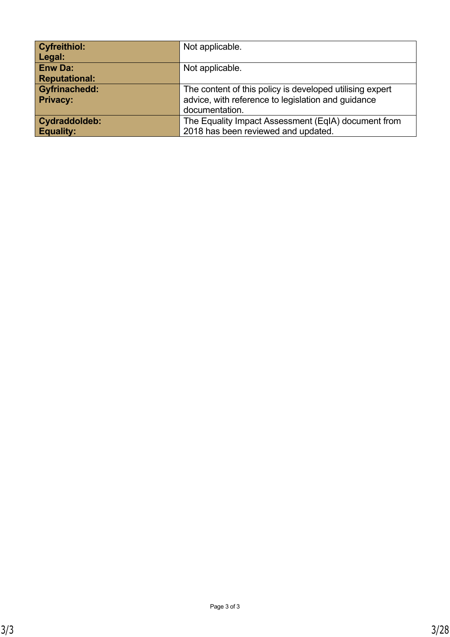| <b>Cyfreithiol:</b>  | Not applicable.                                          |  |
|----------------------|----------------------------------------------------------|--|
| Legal:               |                                                          |  |
| <b>Enw Da:</b>       | Not applicable.                                          |  |
| <b>Reputational:</b> |                                                          |  |
| <b>Gyfrinachedd:</b> | The content of this policy is developed utilising expert |  |
| <b>Privacy:</b>      | advice, with reference to legislation and guidance       |  |
|                      | documentation.                                           |  |
| Cydraddoldeb:        | The Equality Impact Assessment (EqIA) document from      |  |
| <b>Equality:</b>     | 2018 has been reviewed and updated.                      |  |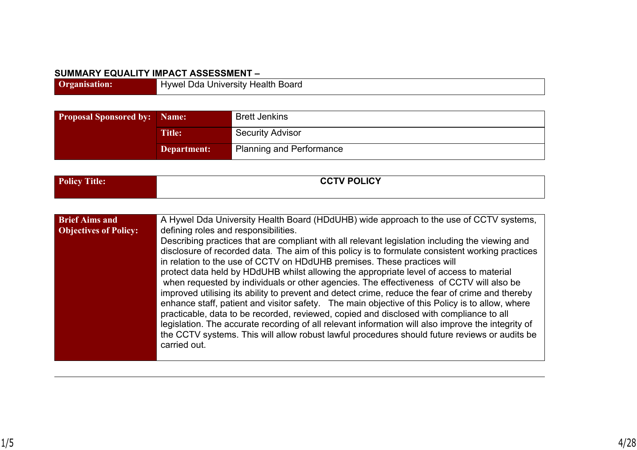#### **SUMMARY EQUALITY IMPACT ASSESSMENT –**

| Hvwel Dda<br>่ University Health Board |
|----------------------------------------|

| <b>Proposal Sponsored by:   Name:</b> |               | <b>Brett Jenkins</b>            |  |
|---------------------------------------|---------------|---------------------------------|--|
|                                       | <b>Title:</b> | <b>Security Advisor</b>         |  |
|                                       | Department:   | <b>Planning and Performance</b> |  |

| <b>Policy</b><br><b>FILLE</b> AT<br>Title: | <b>CCTV POLICY</b> |
|--------------------------------------------|--------------------|
|                                            |                    |

| <b>Brief Aims and</b><br><b>Objectives of Policy:</b> | A Hywel Dda University Health Board (HDdUHB) wide approach to the use of CCTV systems,<br>defining roles and responsibilities.<br>Describing practices that are compliant with all relevant legislation including the viewing and<br>disclosure of recorded data. The aim of this policy is to formulate consistent working practices<br>in relation to the use of CCTV on HDdUHB premises. These practices will<br>protect data held by HDdUHB whilst allowing the appropriate level of access to material<br>when requested by individuals or other agencies. The effectiveness of CCTV will also be<br>improved utilising its ability to prevent and detect crime, reduce the fear of crime and thereby<br>enhance staff, patient and visitor safety. The main objective of this Policy is to allow, where<br>practicable, data to be recorded, reviewed, copied and disclosed with compliance to all<br>legislation. The accurate recording of all relevant information will also improve the integrity of |
|-------------------------------------------------------|----------------------------------------------------------------------------------------------------------------------------------------------------------------------------------------------------------------------------------------------------------------------------------------------------------------------------------------------------------------------------------------------------------------------------------------------------------------------------------------------------------------------------------------------------------------------------------------------------------------------------------------------------------------------------------------------------------------------------------------------------------------------------------------------------------------------------------------------------------------------------------------------------------------------------------------------------------------------------------------------------------------|
|                                                       | the CCTV systems. This will allow robust lawful procedures should future reviews or audits be<br>carried out.                                                                                                                                                                                                                                                                                                                                                                                                                                                                                                                                                                                                                                                                                                                                                                                                                                                                                                  |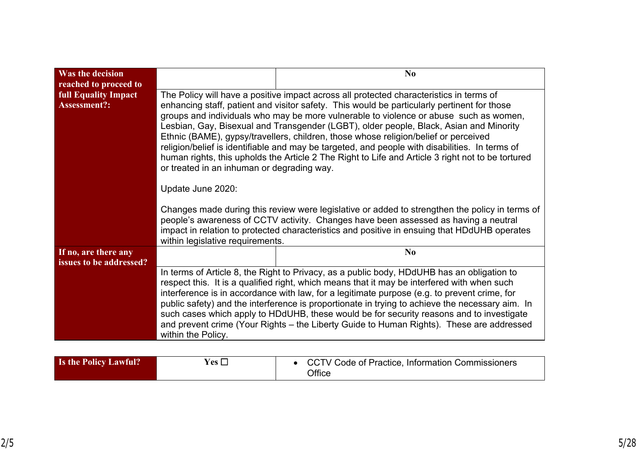| Was the decision<br>reached to proceed to          | N <sub>0</sub>                                                                                                                                                                                                                                                                                                                                                                                                                                                                                                                                                                                                                                                                                                        |  |
|----------------------------------------------------|-----------------------------------------------------------------------------------------------------------------------------------------------------------------------------------------------------------------------------------------------------------------------------------------------------------------------------------------------------------------------------------------------------------------------------------------------------------------------------------------------------------------------------------------------------------------------------------------------------------------------------------------------------------------------------------------------------------------------|--|
| <b>full Equality Impact</b><br><b>Assessment?:</b> | The Policy will have a positive impact across all protected characteristics in terms of<br>enhancing staff, patient and visitor safety. This would be particularly pertinent for those<br>groups and individuals who may be more vulnerable to violence or abuse such as women,<br>Lesbian, Gay, Bisexual and Transgender (LGBT), older people, Black, Asian and Minority<br>Ethnic (BAME), gypsy/travellers, children, those whose religion/belief or perceived<br>religion/belief is identifiable and may be targeted, and people with disabilities. In terms of<br>human rights, this upholds the Article 2 The Right to Life and Article 3 right not to be tortured<br>or treated in an inhuman or degrading way. |  |
|                                                    | Update June 2020:                                                                                                                                                                                                                                                                                                                                                                                                                                                                                                                                                                                                                                                                                                     |  |
|                                                    | Changes made during this review were legislative or added to strengthen the policy in terms of<br>people's awareness of CCTV activity. Changes have been assessed as having a neutral<br>impact in relation to protected characteristics and positive in ensuing that HDdUHB operates<br>within legislative requirements.                                                                                                                                                                                                                                                                                                                                                                                             |  |
| If no, are there any<br>issues to be addressed?    | N <sub>0</sub>                                                                                                                                                                                                                                                                                                                                                                                                                                                                                                                                                                                                                                                                                                        |  |
|                                                    | In terms of Article 8, the Right to Privacy, as a public body, HDdUHB has an obligation to<br>respect this. It is a qualified right, which means that it may be interfered with when such<br>interference is in accordance with law, for a legitimate purpose (e.g. to prevent crime, for<br>public safety) and the interference is proportionate in trying to achieve the necessary aim. In<br>such cases which apply to HDdUHB, these would be for security reasons and to investigate<br>and prevent crime (Your Rights – the Liberty Guide to Human Rights). These are addressed<br>within the Policy.                                                                                                            |  |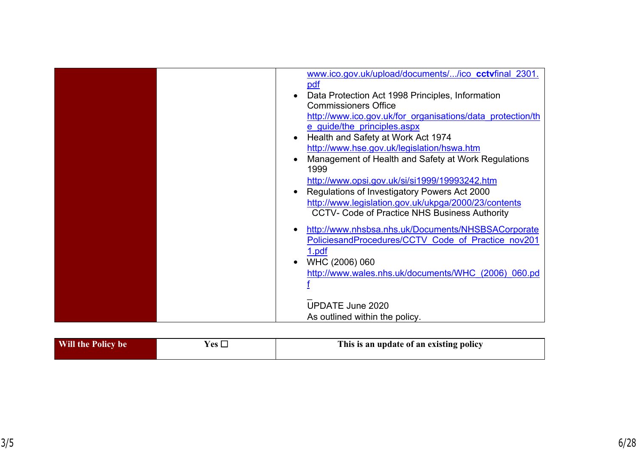| www.ico.gov.uk/upload/documents//ico cctvfinal 2301.       |
|------------------------------------------------------------|
| pdf                                                        |
| Data Protection Act 1998 Principles, Information           |
| <b>Commissioners Office</b>                                |
| http://www.ico.gov.uk/for organisations/data protection/th |
| e guide/the principles.aspx                                |
| Health and Safety at Work Act 1974                         |
| http://www.hse.gov.uk/legislation/hswa.htm                 |
| Management of Health and Safety at Work Regulations        |
| 1999                                                       |
| http://www.opsi.gov.uk/si/si1999/19993242.htm              |
| Regulations of Investigatory Powers Act 2000               |
| http://www.legislation.gov.uk/ukpga/2000/23/contents       |
| <b>CCTV- Code of Practice NHS Business Authority</b>       |
| http://www.nhsbsa.nhs.uk/Documents/NHSBSACorporate<br>٠    |
| PoliciesandProcedures/CCTV Code of Practice nov201         |
| <u>1.pdf</u>                                               |
| WHC (2006) 060                                             |
| http://www.wales.nhs.uk/documents/WHC (2006) 060.pd        |
|                                                            |
|                                                            |
| <b>UPDATE June 2020</b>                                    |
| As outlined within the policy.                             |

| Will the Policy be | <b>`^</b> ` | This is an update of an existing policy |
|--------------------|-------------|-----------------------------------------|
|--------------------|-------------|-----------------------------------------|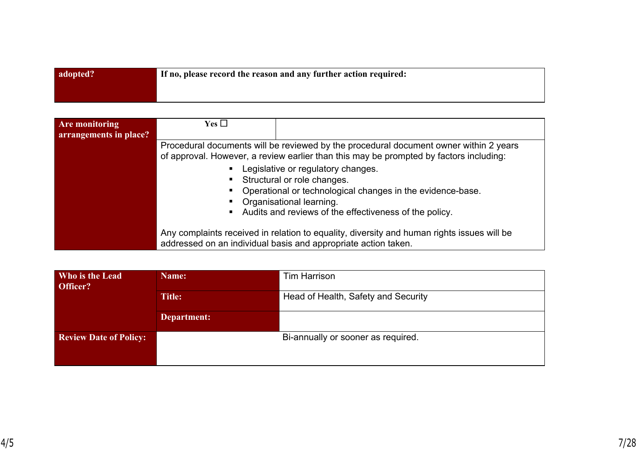| adopted? | If no, please record the reason and any further action required: |
|----------|------------------------------------------------------------------|
|          |                                                                  |

| Are monitoring<br>arrangements in place? | Yes $\square$ |                                                                                                                                                                                                                         |
|------------------------------------------|---------------|-------------------------------------------------------------------------------------------------------------------------------------------------------------------------------------------------------------------------|
|                                          |               | Procedural documents will be reviewed by the procedural document owner within 2 years<br>of approval. However, a review earlier than this may be prompted by factors including:                                         |
|                                          |               | Legislative or regulatory changes.<br>Structural or role changes.<br>Operational or technological changes in the evidence-base.<br>Organisational learning.<br>• Audits and reviews of the effectiveness of the policy. |
|                                          |               | Any complaints received in relation to equality, diversity and human rights issues will be<br>addressed on an individual basis and appropriate action taken.                                                            |

| Who is the Lead<br>Officer?   | Name:         | <b>Tim Harrison</b>                 |  |
|-------------------------------|---------------|-------------------------------------|--|
|                               | <b>Title:</b> | Head of Health, Safety and Security |  |
|                               | Department:   |                                     |  |
| <b>Review Date of Policy:</b> |               | Bi-annually or sooner as required.  |  |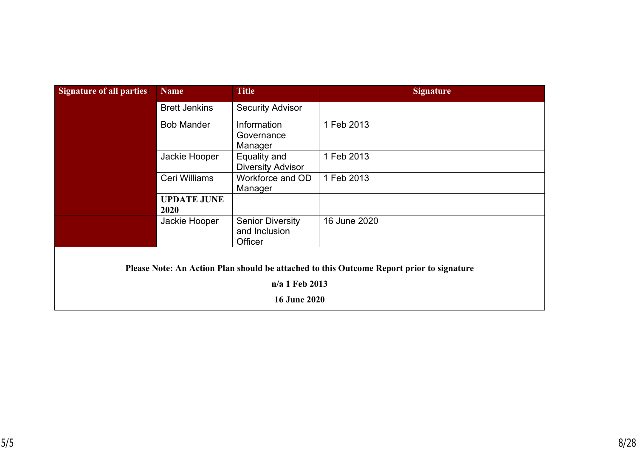| <b>Signature of all parties:</b> | <b>Name</b>                | <b>Title</b>                                        | <b>Signature</b>                                                                         |
|----------------------------------|----------------------------|-----------------------------------------------------|------------------------------------------------------------------------------------------|
|                                  | <b>Brett Jenkins</b>       | <b>Security Advisor</b>                             |                                                                                          |
|                                  | <b>Bob Mander</b>          | Information<br>Governance<br>Manager                | 1 Feb 2013                                                                               |
|                                  | Jackie Hooper              | Equality and<br><b>Diversity Advisor</b>            | 1 Feb 2013                                                                               |
|                                  | Ceri Williams              | Workforce and OD<br>Manager                         | 1 Feb 2013                                                                               |
|                                  | <b>UPDATE JUNE</b><br>2020 |                                                     |                                                                                          |
|                                  | Jackie Hooper              | <b>Senior Diversity</b><br>and Inclusion<br>Officer | 16 June 2020                                                                             |
|                                  |                            |                                                     | Please Note: An Action Plan should be attached to this Outcome Report prior to signature |
|                                  |                            | n/a 1 Feb 2013                                      |                                                                                          |
|                                  |                            | <b>16 June 2020</b>                                 |                                                                                          |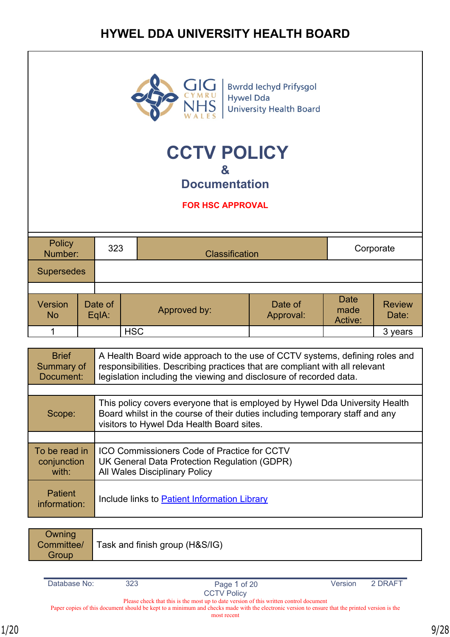# **HYWEL DDA UNIVERSITY HEALTH BOARD**



Bwrdd Iechyd Prifysgol<br>Hywel Dda **University Health Board** 

# **CCTV POLICY &**

**Documentation**

**FOR HSC APPROVAL**

| Policy<br>Number:    |  | 323                |            | <b>Classification</b> |                      | Corporate                      |                        |
|----------------------|--|--------------------|------------|-----------------------|----------------------|--------------------------------|------------------------|
| <b>Supersedes</b>    |  |                    |            |                       |                      |                                |                        |
|                      |  |                    |            |                       |                      |                                |                        |
| Version<br><b>No</b> |  | Date of<br>$EqA$ : |            | Approved by:          | Date of<br>Approval: | <b>Date</b><br>made<br>Active: | <b>Review</b><br>Date: |
|                      |  |                    | <b>HSC</b> |                       |                      |                                | 3 years                |

| <b>Brief</b><br>Summary of<br>Document: | A Health Board wide approach to the use of CCTV systems, defining roles and<br>responsibilities. Describing practices that are compliant with all relevant<br>legislation including the viewing and disclosure of recorded data. |
|-----------------------------------------|----------------------------------------------------------------------------------------------------------------------------------------------------------------------------------------------------------------------------------|
|                                         |                                                                                                                                                                                                                                  |
| Scope:                                  | This policy covers everyone that is employed by Hywel Dda University Health<br>Board whilst in the course of their duties including temporary staff and any<br>visitors to Hywel Dda Health Board sites.                         |
|                                         |                                                                                                                                                                                                                                  |
| To be read in<br>conjunction<br>with:   | ICO Commissioners Code of Practice for CCTV<br>UK General Data Protection Regulation (GDPR)<br><b>All Wales Disciplinary Policy</b>                                                                                              |
| <b>Patient</b><br>information:          | Include links to Patient Information Library                                                                                                                                                                                     |

| Owning<br>Committee/<br>Group | Task and finish group (H&S/IG) |
|-------------------------------|--------------------------------|
|-------------------------------|--------------------------------|

| Database No: |  |
|--------------|--|
|              |  |

and 2 DRAFT Page 1 of 20 Version 2 DRAFT

Please check that this is the most up to date version of this written control document Paper copies of this document should be kept to a minimum and checks made with the electronic version to ensure that the printed version is the

most recent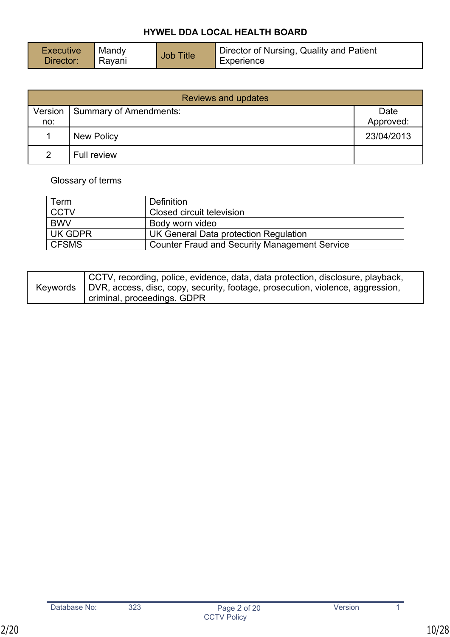| Director of Nursing, Quality and Patient<br>Mandy<br><b>Executive</b><br><b>Job Title</b><br>Director:<br>Rayani<br>Experience |
|--------------------------------------------------------------------------------------------------------------------------------|
|--------------------------------------------------------------------------------------------------------------------------------|

| <b>Reviews and updates</b> |                        |            |  |
|----------------------------|------------------------|------------|--|
| Version                    | Summary of Amendments: | Date       |  |
| no:                        |                        | Approved:  |  |
|                            | <b>New Policy</b>      | 23/04/2013 |  |
| $\mathcal{P}$              | Full review            |            |  |

# Glossary of terms

| Term         | Definition                                           |
|--------------|------------------------------------------------------|
| <b>CCTV</b>  | Closed circuit television                            |
| <b>BWV</b>   | Body worn video                                      |
| UK GDPR      | UK General Data protection Regulation                |
| <b>CFSMS</b> | <b>Counter Fraud and Security Management Service</b> |

| Keywords | CCTV, recording, police, evidence, data, data protection, disclosure, playback,<br>DVR, access, disc, copy, security, footage, prosecution, violence, aggression, |
|----------|-------------------------------------------------------------------------------------------------------------------------------------------------------------------|
|          | criminal, proceedings. GDPR                                                                                                                                       |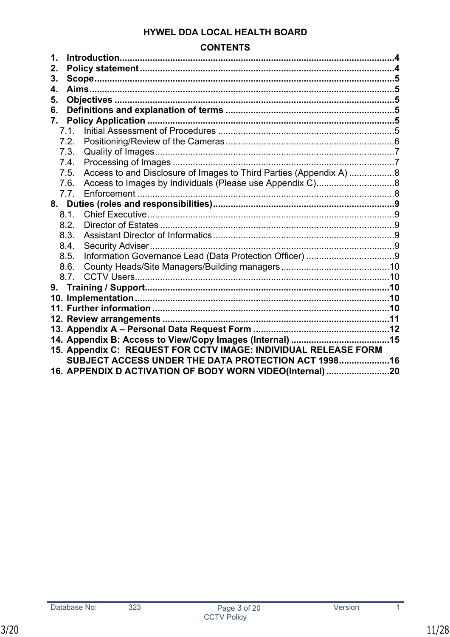# **CONTENTS**

| 1.                                                              |                                                          |                                                                    |  |  |  |
|-----------------------------------------------------------------|----------------------------------------------------------|--------------------------------------------------------------------|--|--|--|
| 2.                                                              |                                                          |                                                                    |  |  |  |
| 3.                                                              |                                                          |                                                                    |  |  |  |
| 4.                                                              |                                                          |                                                                    |  |  |  |
| 5.                                                              |                                                          |                                                                    |  |  |  |
| 6.                                                              |                                                          |                                                                    |  |  |  |
| 7.                                                              |                                                          |                                                                    |  |  |  |
|                                                                 | 7.1.                                                     |                                                                    |  |  |  |
| 7.2.                                                            |                                                          |                                                                    |  |  |  |
| 7.3.                                                            |                                                          |                                                                    |  |  |  |
| 7.4.                                                            |                                                          |                                                                    |  |  |  |
| 7.5.                                                            |                                                          | Access to and Disclosure of Images to Third Parties (Appendix A) 8 |  |  |  |
| 7.6.                                                            |                                                          |                                                                    |  |  |  |
|                                                                 | 7.7.                                                     |                                                                    |  |  |  |
|                                                                 |                                                          |                                                                    |  |  |  |
| 8.1.                                                            |                                                          |                                                                    |  |  |  |
| 8.2.                                                            |                                                          |                                                                    |  |  |  |
| 8.3.                                                            |                                                          |                                                                    |  |  |  |
| 8.4.                                                            |                                                          |                                                                    |  |  |  |
| 8.5.                                                            |                                                          |                                                                    |  |  |  |
| 8.6.                                                            |                                                          |                                                                    |  |  |  |
|                                                                 | 8.7.                                                     |                                                                    |  |  |  |
|                                                                 |                                                          |                                                                    |  |  |  |
|                                                                 |                                                          |                                                                    |  |  |  |
|                                                                 |                                                          |                                                                    |  |  |  |
|                                                                 |                                                          |                                                                    |  |  |  |
|                                                                 |                                                          |                                                                    |  |  |  |
|                                                                 |                                                          |                                                                    |  |  |  |
| 15. Appendix C: REQUEST FOR CCTV IMAGE: INDIVIDUAL RELEASE FORM |                                                          |                                                                    |  |  |  |
|                                                                 | SUBJECT ACCESS UNDER THE DATA PROTECTION ACT 199816      |                                                                    |  |  |  |
|                                                                 | 16. APPENDIX D ACTIVATION OF BODY WORN VIDEO(Internal)20 |                                                                    |  |  |  |

 $\overline{323}$ 

 $\overline{1}$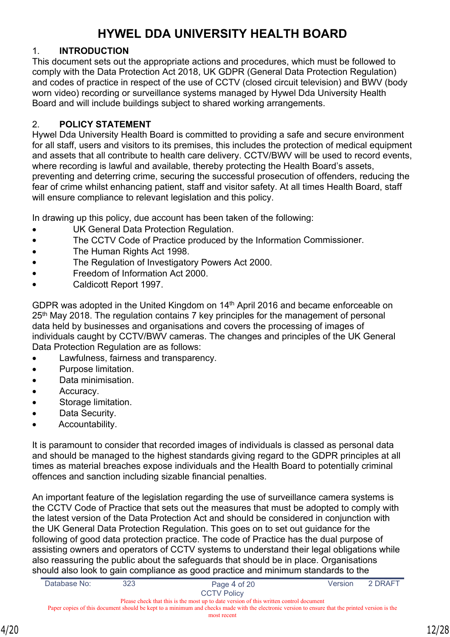# **HYWEL DDA UNIVERSITY HEALTH BOARD**

# <span id="page-11-0"></span>1. **INTRODUCTION**

This document sets out the appropriate actions and procedures, which must be followed to comply with the Data Protection Act 2018, UK GDPR (General Data Protection Regulation) and codes of practice in respect of the use of CCTV (closed circuit television) and BWV (body worn video) recording or surveillance systems managed by Hywel Dda University Health Board and will include buildings subject to shared working arrangements.

# <span id="page-11-1"></span>2. **POLICY STATEMENT**

Hywel Dda University Health Board is committed to providing a safe and secure environment for all staff, users and visitors to its premises, this includes the protection of medical equipment and assets that all contribute to health care delivery. CCTV/BWV will be used to record events, where recording is lawful and available, thereby protecting the Health Board's assets, preventing and deterring crime, securing the successful prosecution of offenders, reducing the fear of crime whilst enhancing patient, staff and visitor safety. At all times Health Board, staff will ensure compliance to relevant legislation and this policy.

In drawing up this policy, due account has been taken of the following:

- UK General Data Protection Regulation.
- The CCTV Code of Practice produced by the Information Commissioner.
- The Human Rights Act 1998.
- The Regulation of Investigatory Powers Act 2000.
- Freedom of Information Act 2000.
- Caldicott Report 1997.

GDPR was adopted in the United Kingdom on 14th April 2016 and became enforceable on 25<sup>th</sup> May 2018. The regulation contains 7 key principles for the management of personal data held by businesses and organisations and covers the processing of images of individuals caught by CCTV/BWV cameras. The changes and principles of the UK General Data Protection Regulation are as follows:

- Lawfulness, fairness and transparency.
- Purpose limitation.
- Data minimisation.
- Accuracy.
- Storage limitation.
- Data Security.
- Accountability.

It is paramount to consider that recorded images of individuals is classed as personal data and should be managed to the highest standards giving regard to the GDPR principles at all times as material breaches expose individuals and the Health Board to potentially criminal offences and sanction including sizable financial penalties.

An important feature of the legislation regarding the use of surveillance camera systems is the CCTV Code of Practice that sets out the measures that must be adopted to comply with the latest version of the Data Protection Act and should be considered in conjunction with the UK General Data Protection Regulation. This goes on to set out guidance for the following of good data protection practice. The code of Practice has the dual purpose of assisting owners and operators of CCTV systems to understand their legal obligations while also reassuring the public about the safeguards that should be in place. Organisations should also look to gain compliance as good practice and minimum standards to the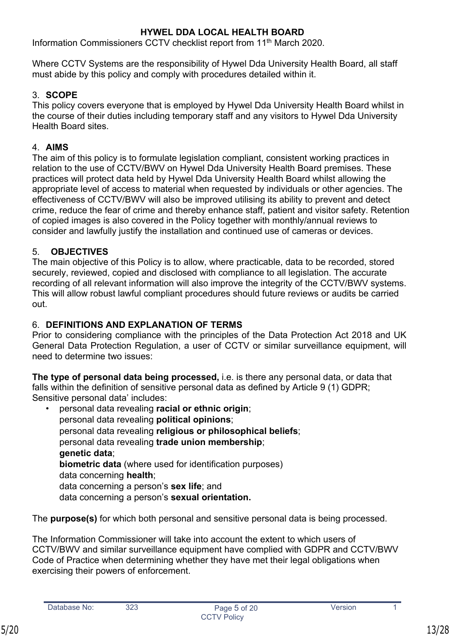Information Commissioners CCTV checklist report from 11<sup>th</sup> March 2020.

Where CCTV Systems are the responsibility of Hywel Dda University Health Board, all staff must abide by this policy and comply with procedures detailed within it.

# <span id="page-12-0"></span>3. **SCOPE**

This policy covers everyone that is employed by Hywel Dda University Health Board whilst in the course of their duties including temporary staff and any visitors to Hywel Dda University Health Board sites.

# <span id="page-12-1"></span>4. **AIMS**

The aim of this policy is to formulate legislation compliant, consistent working practices in relation to the use of CCTV/BWV on Hywel Dda University Health Board premises. These practices will protect data held by Hywel Dda University Health Board whilst allowing the appropriate level of access to material when requested by individuals or other agencies. The effectiveness of CCTV/BWV will also be improved utilising its ability to prevent and detect crime, reduce the fear of crime and thereby enhance staff, patient and visitor safety. Retention of copied images is also covered in the Policy together with monthly/annual reviews to consider and lawfully justify the installation and continued use of cameras or devices.

# <span id="page-12-2"></span>5. **OBJECTIVES**

The main objective of this Policy is to allow, where practicable, data to be recorded, stored securely, reviewed, copied and disclosed with compliance to all legislation. The accurate recording of all relevant information will also improve the integrity of the CCTV/BWV systems. This will allow robust lawful compliant procedures should future reviews or audits be carried out.

# <span id="page-12-3"></span>6. **DEFINITIONS AND EXPLANATION OF TERMS**

Prior to considering compliance with the principles of the Data Protection Act 2018 and UK General Data Protection Regulation, a user of CCTV or similar surveillance equipment, will need to determine two issues:

**The type of personal data being processed,** i.e. is there any personal data, or data that falls within the definition of sensitive personal data as defined by Article 9 (1) GDPR; Sensitive personal data' includes:

• personal data revealing **racial or ethnic origin**; personal data revealing **political opinions**; personal data revealing **religious or philosophical beliefs**; personal data revealing **trade union membership**; **genetic data**; **biometric data** (where used for identification purposes) data concerning **health**; data concerning a person's **sex life**; and data concerning a person's **sexual orientation.**

The **purpose(s)** for which both personal and sensitive personal data is being processed.

The Information Commissioner will take into account the extent to which users of CCTV/BWV and similar surveillance equipment have complied with GDPR and CCTV/BWV Code of Practice when determining whether they have met their legal obligations when exercising their powers of enforcement.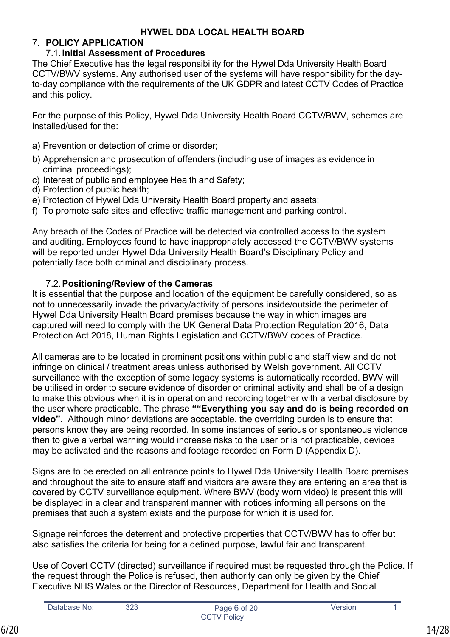# <span id="page-13-0"></span>7. **POLICY APPLICATION**

# <span id="page-13-1"></span>7.1.**Initial Assessment of Procedures**

The Chief Executive has the legal responsibility for the Hywel Dda University Health Board CCTV/BWV systems. Any authorised user of the systems will have responsibility for the dayto-day compliance with the requirements of the UK GDPR and latest CCTV Codes of Practice and this policy.

For the purpose of this Policy, Hywel Dda University Health Board CCTV/BWV, schemes are installed/used for the:

- a) Prevention or detection of crime or disorder;
- b) Apprehension and prosecution of offenders (including use of images as evidence in criminal proceedings);
- c) Interest of public and employee Health and Safety;
- d) Protection of public health;
- e) Protection of Hywel Dda University Health Board property and assets;
- f) To promote safe sites and effective traffic management and parking control.

Any breach of the Codes of Practice will be detected via controlled access to the system and auditing. Employees found to have inappropriately accessed the CCTV/BWV systems will be reported under Hywel Dda University Health Board's Disciplinary Policy and potentially face both criminal and disciplinary process.

# <span id="page-13-2"></span>7.2.**Positioning/Review of the Cameras**

It is essential that the purpose and location of the equipment be carefully considered, so as not to unnecessarily invade the privacy/activity of persons inside/outside the perimeter of Hywel Dda University Health Board premises because the way in which images are captured will need to comply with the UK General Data Protection Regulation 2016, Data Protection Act 2018, Human Rights Legislation and CCTV/BWV codes of Practice.

All cameras are to be located in prominent positions within public and staff view and do not infringe on clinical / treatment areas unless authorised by Welsh government. All CCTV surveillance with the exception of some legacy systems is automatically recorded. BWV will be utilised in order to secure evidence of disorder or criminal activity and shall be of a design to make this obvious when it is in operation and recording together with a verbal disclosure by the user where practicable. The phrase **""Everything you say and do is being recorded on video".** Although minor deviations are acceptable, the overriding burden is to ensure that persons know they are being recorded. In some instances of serious or spontaneous violence then to give a verbal warning would increase risks to the user or is not practicable, devices may be activated and the reasons and footage recorded on Form D [\(Appendix D](#page-27-0)).

Signs are to be erected on all entrance points to Hywel Dda University Health Board premises and throughout the site to ensure staff and visitors are aware they are entering an area that is covered by CCTV surveillance equipment. Where BWV (body worn video) is present this will be displayed in a clear and transparent manner with notices informing all persons on the premises that such a system exists and the purpose for which it is used for.

Signage reinforces the deterrent and protective properties that CCTV/BWV has to offer but also satisfies the criteria for being for a defined purpose, lawful fair and transparent.

Use of Covert CCTV (directed) surveillance if required must be requested through the Police. If the request through the Police is refused, then authority can only be given by the Chief Executive NHS Wales or the Director of Resources, Department for Health and Social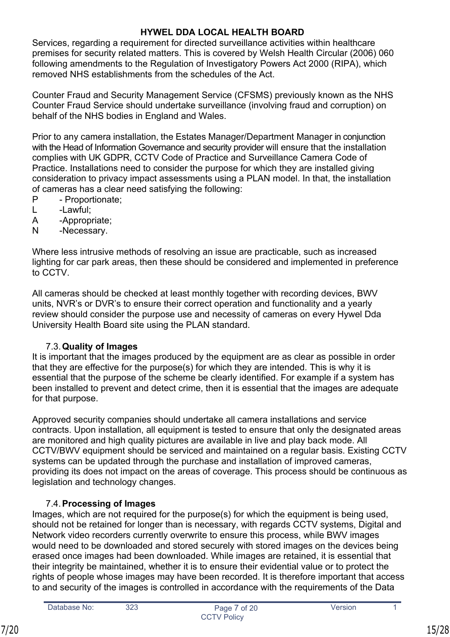Services, regarding a requirement for directed surveillance activities within healthcare premises for security related matters. This is covered by Welsh Health Circular (2006) 060 following amendments to the Regulation of Investigatory Powers Act 2000 (RIPA), which removed NHS establishments from the schedules of the Act.

Counter Fraud and Security Management Service (CFSMS) previously known as the NHS Counter Fraud Service should undertake surveillance (involving fraud and corruption) on behalf of the NHS bodies in England and Wales.

Prior to any camera installation, the Estates Manager/Department Manager in conjunction with the Head of Information Governance and security provider will ensure that the installation complies with UK GDPR, CCTV Code of Practice and Surveillance Camera Code of Practice. Installations need to consider the purpose for which they are installed giving consideration to privacy impact assessments using a PLAN model. In that, the installation of cameras has a clear need satisfying the following:

- P Proportionate;
- L -Lawful;
- A -Appropriate;
- N -Necessary.

Where less intrusive methods of resolving an issue are practicable, such as increased lighting for car park areas, then these should be considered and implemented in preference to CCTV.

All cameras should be checked at least monthly together with recording devices, BWV units, NVR's or DVR's to ensure their correct operation and functionality and a yearly review should consider the purpose use and necessity of cameras on every Hywel Dda University Health Board site using the PLAN standard.

# <span id="page-14-0"></span>7.3.**Quality of Images**

It is important that the images produced by the equipment are as clear as possible in order that they are effective for the purpose(s) for which they are intended. This is why it is essential that the purpose of the scheme be clearly identified. For example if a system has been installed to prevent and detect crime, then it is essential that the images are adequate for that purpose.

Approved security companies should undertake all camera installations and service contracts. Upon installation, all equipment is tested to ensure that only the designated areas are monitored and high quality pictures are available in live and play back mode. All CCTV/BWV equipment should be serviced and maintained on a regular basis. Existing CCTV systems can be updated through the purchase and installation of improved cameras, providing its does not impact on the areas of coverage. This process should be continuous as legislation and technology changes.

# <span id="page-14-1"></span>7.4.**Processing of Images**

Images, which are not required for the purpose(s) for which the equipment is being used, should not be retained for longer than is necessary, with regards CCTV systems, Digital and Network video recorders currently overwrite to ensure this process, while BWV images would need to be downloaded and stored securely with stored images on the devices being erased once images had been downloaded. While images are retained, it is essential that their integrity be maintained, whether it is to ensure their evidential value or to protect the rights of people whose images may have been recorded. It is therefore important that access to and security of the images is controlled in accordance with the requirements of the Data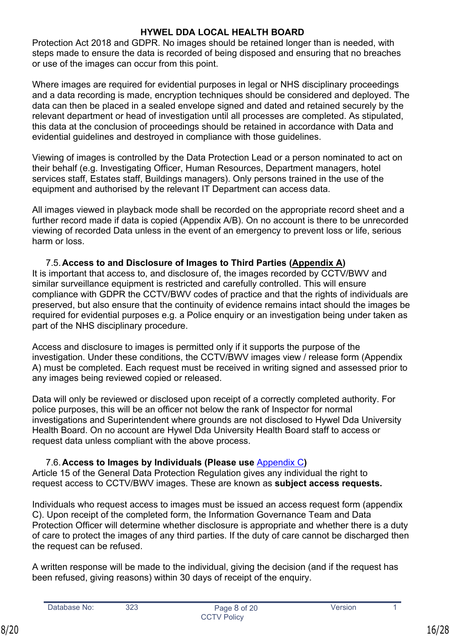Protection Act 2018 and GDPR. No images should be retained longer than is needed, with steps made to ensure the data is recorded of being disposed and ensuring that no breaches or use of the images can occur from this point.

Where images are required for evidential purposes in legal or NHS disciplinary proceedings and a data recording is made, encryption techniques should be considered and deployed. The data can then be placed in a sealed envelope signed and dated and retained securely by the relevant department or head of investigation until all processes are completed. As stipulated, this data at the conclusion of proceedings should be retained in accordance with Data and evidential guidelines and destroyed in compliance with those guidelines.

Viewing of images is controlled by the Data Protection Lead or a person nominated to act on their behalf (e.g. Investigating Officer, Human Resources, Department managers, hotel services staff, Estates staff, Buildings managers). Only persons trained in the use of the equipment and authorised by the relevant IT Department can access data.

All images viewed in playback mode shall be recorded on the appropriate record sheet and a further record made if data is copied (Appendix [A](#page-19-0)/[B\)](#page-21-0). On no account is there to be unrecorded viewing of recorded Data unless in the event of an emergency to prevent loss or life, serious harm or loss.

# <span id="page-15-0"></span>7.5.**Access to and Disclosure of Images to Third Parties [\(Appendix A\)](#page-19-0)**

It is important that access to, and disclosure of, the images recorded by CCTV/BWV and similar surveillance equipment is restricted and carefully controlled. This will ensure compliance with GDPR the CCTV/BWV codes of practice and that the rights of individuals are preserved, but also ensure that the continuity of evidence remains intact should the images be required for evidential purposes e.g. a Police enquiry or an investigation being under taken as part of the NHS disciplinary procedure.

Access and disclosure to images is permitted only if it supports the purpose of the investigation. Under these conditions, the CCTV/BWV images view / release form (Appendix A) must be completed. Each request must be received in writing signed and assessed prior to any images being reviewed copied or released.

Data will only be reviewed or disclosed upon receipt of a correctly completed authority. For police purposes, this will be an officer not below the rank of Inspector for normal investigations and Superintendent where grounds are not disclosed to Hywel Dda University Health Board. On no account are Hywel Dda University Health Board staff to access or request data unless compliant with the above process.

# <span id="page-15-1"></span>7.6.**Access to Images by Individuals (Please use** [Appendix C](#page-23-0)**)**

Article 15 of the General Data Protection Regulation gives any individual the right to request access to CCTV/BWV images. These are known as **subject access requests.**

Individuals who request access to images must be issued an access request form (appendix C). Upon receipt of the completed form, the Information Governance Team and Data Protection Officer will determine whether disclosure is appropriate and whether there is a duty of care to protect the images of any third parties. If the duty of care cannot be discharged then the request can be refused.

A written response will be made to the individual, giving the decision (and if the request has been refused, giving reasons) within 30 days of receipt of the enquiry.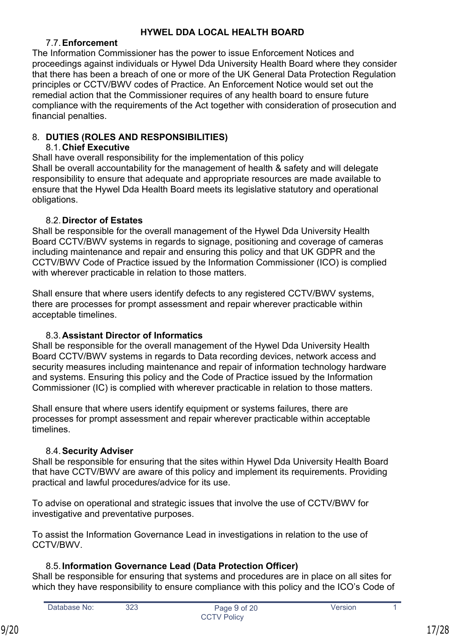# <span id="page-16-0"></span>7.7.**Enforcement**

The Information Commissioner has the power to issue Enforcement Notices and proceedings against individuals or Hywel Dda University Health Board where they consider that there has been a breach of one or more of the UK General Data Protection Regulation principles or CCTV/BWV codes of Practice. An Enforcement Notice would set out the remedial action that the Commissioner requires of any health board to ensure future compliance with the requirements of the Act together with consideration of prosecution and financial penalties.

# <span id="page-16-1"></span>8. **DUTIES (ROLES AND RESPONSIBILITIES)**

# <span id="page-16-2"></span>8.1.**Chief Executive**

Shall have overall responsibility for the implementation of this policy Shall be overall accountability for the management of health & safety and will delegate responsibility to ensure that adequate and appropriate resources are made available to ensure that the Hywel Dda Health Board meets its legislative statutory and operational obligations.

# <span id="page-16-3"></span>8.2.**Director of Estates**

Shall be responsible for the overall management of the Hywel Dda University Health Board CCTV/BWV systems in regards to signage, positioning and coverage of cameras including maintenance and repair and ensuring this policy and that UK GDPR and the CCTV/BWV Code of Practice issued by the Information Commissioner (ICO) is complied with wherever practicable in relation to those matters.

Shall ensure that where users identify defects to any registered CCTV/BWV systems, there are processes for prompt assessment and repair wherever practicable within acceptable timelines.

# <span id="page-16-4"></span>8.3.**Assistant Director of Informatics**

Shall be responsible for the overall management of the Hywel Dda University Health Board CCTV/BWV systems in regards to Data recording devices, network access and security measures including maintenance and repair of information technology hardware and systems. Ensuring this policy and the Code of Practice issued by the Information Commissioner (IC) is complied with wherever practicable in relation to those matters.

Shall ensure that where users identify equipment or systems failures, there are processes for prompt assessment and repair wherever practicable within acceptable timelines.

# <span id="page-16-5"></span>8.4.**Security Adviser**

Shall be responsible for ensuring that the sites within Hywel Dda University Health Board that have CCTV/BWV are aware of this policy and implement its requirements. Providing practical and lawful procedures/advice for its use.

To advise on operational and strategic issues that involve the use of CCTV/BWV for investigative and preventative purposes.

To assist the Information Governance Lead in investigations in relation to the use of CCTV/BWV.

# <span id="page-16-6"></span>8.5.**Information Governance Lead (Data Protection Officer)**

Shall be responsible for ensuring that systems and procedures are in place on all sites for which they have responsibility to ensure compliance with this policy and the ICO's Code of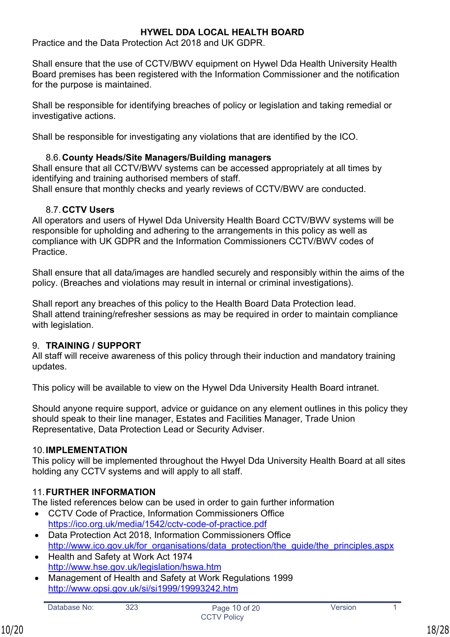Practice and the Data Protection Act 2018 and UK GDPR.

Shall ensure that the use of CCTV/BWV equipment on Hywel Dda Health University Health Board premises has been registered with the Information Commissioner and the notification for the purpose is maintained.

Shall be responsible for identifying breaches of policy or legislation and taking remedial or investigative actions.

Shall be responsible for investigating any violations that are identified by the ICO.

# <span id="page-17-0"></span>8.6.**County Heads/Site Managers/Building managers**

Shall ensure that all CCTV/BWV systems can be accessed appropriately at all times by identifying and training authorised members of staff.

Shall ensure that monthly checks and yearly reviews of CCTV/BWV are conducted.

# <span id="page-17-1"></span>8.7.**CCTV Users**

All operators and users of Hywel Dda University Health Board CCTV/BWV systems will be responsible for upholding and adhering to the arrangements in this policy as well as compliance with UK GDPR and the Information Commissioners CCTV/BWV codes of **Practice** 

Shall ensure that all data/images are handled securely and responsibly within the aims of the policy. (Breaches and violations may result in internal or criminal investigations).

Shall report any breaches of this policy to the Health Board Data Protection lead. Shall attend training/refresher sessions as may be required in order to maintain compliance with legislation.

# <span id="page-17-2"></span>9. **TRAINING / SUPPORT**

All staff will receive awareness of this policy through their induction and mandatory training updates.

This policy will be available to view on the Hywel Dda University Health Board intranet.

Should anyone require support, advice or guidance on any element outlines in this policy they should speak to their line manager, Estates and Facilities Manager, Trade Union Representative, Data Protection Lead or Security Adviser.

# <span id="page-17-3"></span>10.**IMPLEMENTATION**

This policy will be implemented throughout the Hwyel Dda University Health Board at all sites holding any CCTV systems and will apply to all staff.

# <span id="page-17-4"></span>11.**FURTHER INFORMATION**

The listed references below can be used in order to gain further information

- CCTV Code of Practice, Information Commissioners Office <https://ico.org.uk/media/1542/cctv-code-of-practice.pdf>
- Data Protection Act 2018, Information Commissioners Office http://www.jco.gov.uk/for\_organisations/data\_protection/the\_guide/the\_principles.aspx
- Health and Safety at Work Act 1974 <http://www.hse.gov.uk/legislation/hswa.htm>
- Management of Health and Safety at Work Regulations 1999 <http://www.opsi.gov.uk/si/si1999/19993242.htm>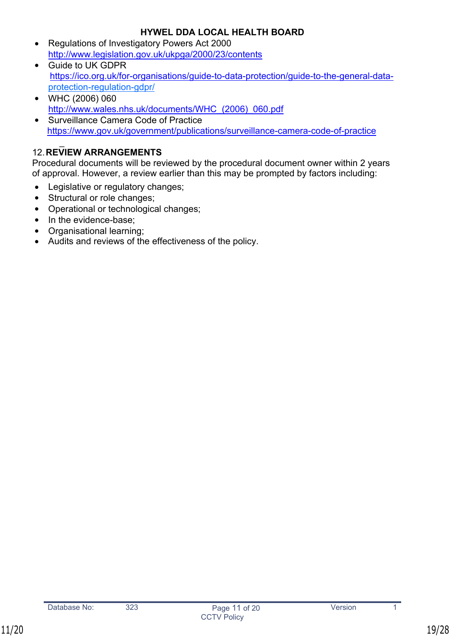- Regulations of Investigatory Powers Act 2000 <http://www.legislation.gov.uk/ukpga/2000/23/contents>
- Guide to UK GDPR [https://ico.org.uk/for-organisations/guide-to-data-protection/guide-to-the-general-data](https://ico.org.uk/for-organisations/guide-to-data-protection/guide-to-the-general-data-)protection-regulation-gdpr/
- WHC (2006) 060 [http://www.wales.nhs.uk/documents/WHC\\_\(2006\)\\_060.pdf](http://www.wales.nhs.uk/documents/WHC_(2006)_060.pdf)
- Surveillance Camera Code of Practice <https://www.gov.uk/government/publications/surveillance-camera-code-of-practice>

#### <span id="page-18-0"></span> $\overline{\phantom{a}}$ 12.**REVIEW ARRANGEMENTS**

Procedural documents will be reviewed by the procedural document owner within 2 years of approval. However, a review earlier than this may be prompted by factors including:

- Legislative or regulatory changes;
- Structural or role changes;
- Operational or technological changes;
- In the evidence-base:
- Organisational learning;
- Audits and reviews of the effectiveness of the policy.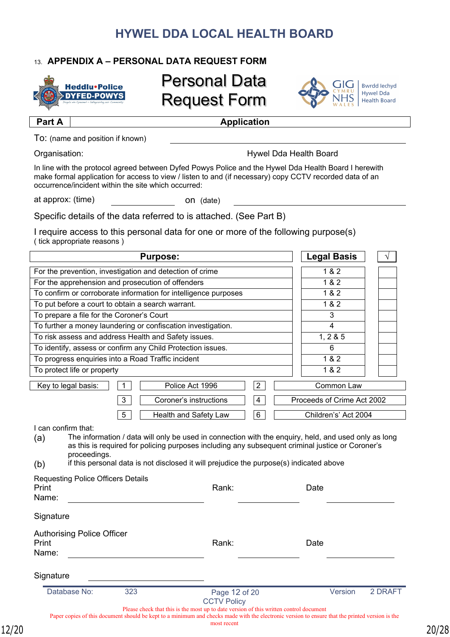# <span id="page-19-0"></span>13. **APPENDIX A – PERSONAL DATA REQUEST FORM**

**Part A Application** 



# Personal Data Request Form



**Bwrdd lechyd Hywel Dda** Health Board

To: (name and position if known)

Organisation: Hywel Dda Health Board

In line with the protocol agreed between Dyfed Powys Police and the Hywel Dda Health Board I herewith make formal application for access to view / listen to and (if necessary) copy CCTV recorded data of an occurrence/incident within the site which occurred:

at approx: (time) on (date)

Specific details of the data referred to is attached. (See Part B)

I require access to this personal data for one or more of the following purpose(s) ( tick appropriate reasons )

| <b>Purpose:</b>                                                                                                                                                                                                                                                                                                                   |                    |       | <b>Legal Basis</b>         |         |  |  |
|-----------------------------------------------------------------------------------------------------------------------------------------------------------------------------------------------------------------------------------------------------------------------------------------------------------------------------------|--------------------|-------|----------------------------|---------|--|--|
| For the prevention, investigation and detection of crime                                                                                                                                                                                                                                                                          |                    | 1 & 2 |                            |         |  |  |
| For the apprehension and prosecution of offenders                                                                                                                                                                                                                                                                                 |                    | 1&8&2 |                            |         |  |  |
| To confirm or corroborate information for intelligence purposes                                                                                                                                                                                                                                                                   |                    |       | 1 & 2                      |         |  |  |
| To put before a court to obtain a search warrant.                                                                                                                                                                                                                                                                                 |                    |       | 1 & 2                      |         |  |  |
| To prepare a file for the Coroner's Court                                                                                                                                                                                                                                                                                         |                    |       | 3                          |         |  |  |
| To further a money laundering or confiscation investigation.                                                                                                                                                                                                                                                                      |                    |       | 4                          |         |  |  |
| To risk assess and address Health and Safety issues.                                                                                                                                                                                                                                                                              |                    |       | 1, 2 & 5                   |         |  |  |
| To identify, assess or confirm any Child Protection issues.                                                                                                                                                                                                                                                                       |                    |       | 6                          |         |  |  |
| To progress enquiries into a Road Traffic incident                                                                                                                                                                                                                                                                                |                    |       | 182                        |         |  |  |
| To protect life or property                                                                                                                                                                                                                                                                                                       |                    |       | 1 & 2                      |         |  |  |
| $\mathbf 1$<br>Key to legal basis:<br>Police Act 1996                                                                                                                                                                                                                                                                             | $\overline{2}$     |       | Common Law                 |         |  |  |
| 3<br>Coroner's instructions                                                                                                                                                                                                                                                                                                       | $\overline{4}$     |       | Proceeds of Crime Act 2002 |         |  |  |
| 5<br>Health and Safety Law                                                                                                                                                                                                                                                                                                        | 6                  |       | Children's' Act 2004       |         |  |  |
| The information / data will only be used in connection with the enquiry, held, and used only as long<br>(a)<br>as this is required for policing purposes including any subsequent criminal justice or Coroner's<br>proceedings.<br>if this personal data is not disclosed it will prejudice the purpose(s) indicated above<br>(b) |                    |       |                            |         |  |  |
| <b>Requesting Police Officers Details</b><br>Print<br>Name:                                                                                                                                                                                                                                                                       | Rank:              |       | Date                       |         |  |  |
| Signature                                                                                                                                                                                                                                                                                                                         |                    |       |                            |         |  |  |
| <b>Authorising Police Officer</b><br>Print<br>Name:                                                                                                                                                                                                                                                                               | Rank:              |       | Date                       |         |  |  |
| Signature                                                                                                                                                                                                                                                                                                                         |                    |       |                            |         |  |  |
| Database No:<br>323                                                                                                                                                                                                                                                                                                               | Page 12 of 20      |       | Version                    | 2 DRAFT |  |  |
| Please check that this is the most up to date version of this written control document<br>Paper copies of this document should be kept to a minimum and checks made with the electronic version to ensure that the printed version is the                                                                                         | <b>CCTV Policy</b> |       |                            |         |  |  |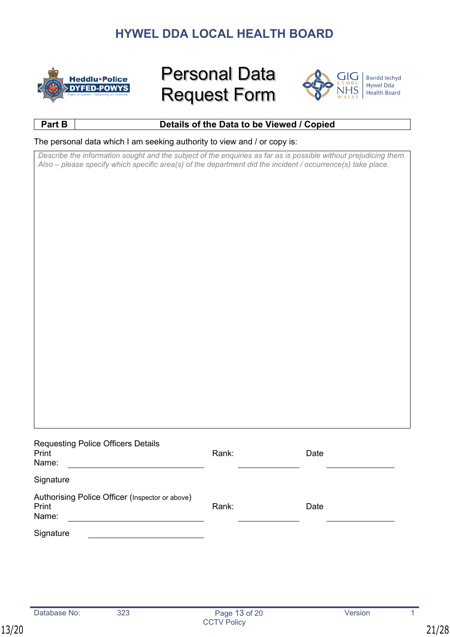

# Personal Data Request Form



**Bwrdd lechyd** Hywel Dda Health Board

# **Part B Details of the Data to be Viewed / Copied**

The personal data which I am seeking authority to view and / or copy is:

*Describe the information sought and the subject of the enquiries as far as is possible without prejudicing them. Also – please specify which specific area(s) of the department did the incident / occurrence(s) take place.*

| <b>Requesting Police Officers Details</b><br>Print<br>Name:       | Rank: | Date |  |
|-------------------------------------------------------------------|-------|------|--|
| Signature                                                         |       |      |  |
| Authorising Police Officer (Inspector or above)<br>Print<br>Name: | Rank: | Date |  |
| Signature                                                         |       |      |  |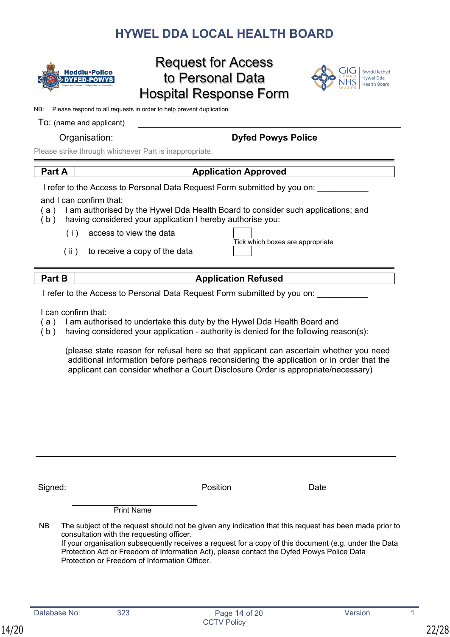

# Request for Access to Personal Data Hospital Response Form



NB: Please respond to all requests in order to help prevent duplication.

#### To: (name and applicant)

# Organisation: **Dyfed Powys Police**

Please strike through whichever Part is inappropriate.

# **Part A Application Approved**

I refer to the Access to Personal Data Request Form submitted by you on:

and I can confirm that:

- ( a ) I am authorised by the Hywel Dda Health Board to consider such applications; and
- $(b)$  having considered your application I hereby authorise you:
	- ( i ) access to view the data
	- ( ii ) to receive a copy of the data

| Tick which boxes are appropriate |
|----------------------------------|
|                                  |

# **Part B Application Refused**

I refer to the Access to Personal Data Request Form submitted by you on:

I can confirm that:

- ( a ) I am authorised to undertake this duty by the Hywel Dda Health Board and
- ( b ) having considered your application authority is denied for the following reason(s):

(please state reason for refusal here so that applicant can ascertain whether you need additional information before perhaps reconsidering the application or in order that the applicant can consider whether a Court Disclosure Order is appropriate/necessary)

Signed: Contract Contract Contract Position Contract Date Date Print Name NB The subject of the request should not be given any indication that this request has been made prior to consultation with the requesting officer. If your organisation subsequently receives a request for a copy of this document (e.g. under the Data

<span id="page-21-0"></span>Protection Act or Freedom of Information Act), please contact the Dyfed Powys Police Data Protection or Freedom of Information Officer.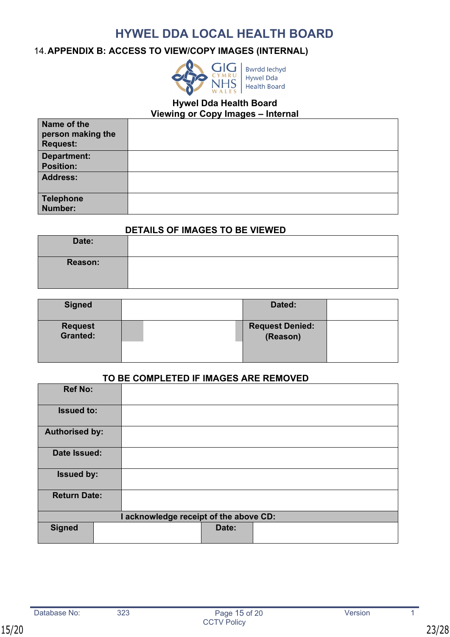# <span id="page-22-0"></span>14.**APPENDIX B: ACCESS TO VIEW/COPY IMAGES (INTERNAL)**



# **Hywel Dda Health Board**

**Viewing or Copy Images – Internal**

| Name of the<br>person making the<br><b>Request:</b> |  |
|-----------------------------------------------------|--|
| Department:                                         |  |
| <b>Position:</b>                                    |  |
| Address:                                            |  |
| Telephone<br>Number:                                |  |

### **DETAILS OF IMAGES TO BE VIEWED**

| Date:          |  |
|----------------|--|
| <b>Reason:</b> |  |

| <b>Signed</b>       | Dated:                             |  |
|---------------------|------------------------------------|--|
| Request<br>Granted: | <b>Request Denied:</b><br>(Reason) |  |
|                     |                                    |  |

### **TO BE COMPLETED IF IMAGES ARE REMOVED**

| <b>Ref No:</b>        |  |                                        |       |  |
|-----------------------|--|----------------------------------------|-------|--|
| <b>Issued to:</b>     |  |                                        |       |  |
| <b>Authorised by:</b> |  |                                        |       |  |
| Date Issued:          |  |                                        |       |  |
| <b>Issued by:</b>     |  |                                        |       |  |
| <b>Return Date:</b>   |  |                                        |       |  |
|                       |  | I acknowledge receipt of the above CD: |       |  |
| <b>Signed</b>         |  |                                        | Date: |  |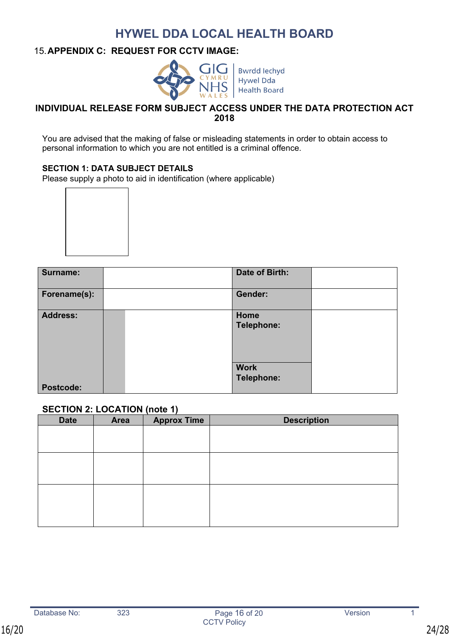### <span id="page-23-0"></span>15.**APPENDIX C: REQUEST FOR CCTV IMAGE:**



**Bwrdd lechyd Hywel Dda Health Board** 

### **INDIVIDUAL RELEASE FORM SUBJECT ACCESS UNDER THE DATA PROTECTION ACT 2018**

You are advised that the making of false or misleading statements in order to obtain access to personal information to which you are not entitled is a criminal offence.

### **SECTION 1: DATA SUBJECT DETAILS**

Please supply a photo to aid in identification (where applicable)



| Surname:         | Date of Birth:            |  |
|------------------|---------------------------|--|
| Forename(s):     | Gender:                   |  |
| <b>Address:</b>  | Home<br>Telephone:        |  |
| <b>Postcode:</b> | <b>Work</b><br>Telephone: |  |

### **SECTION 2: LOCATION (note 1)**

| <b>Date</b> | <b>Area</b> | <b>Approx Time</b> | <b>Description</b> |
|-------------|-------------|--------------------|--------------------|
|             |             |                    |                    |
|             |             |                    |                    |
|             |             |                    |                    |
|             |             |                    |                    |
|             |             |                    |                    |
|             |             |                    |                    |
|             |             |                    |                    |
|             |             |                    |                    |
|             |             |                    |                    |
|             |             |                    |                    |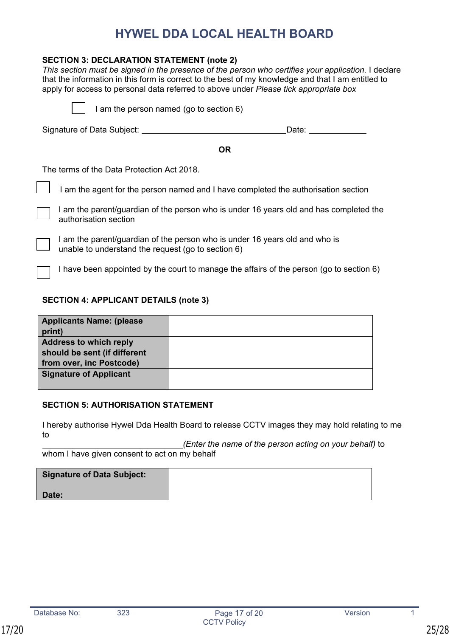### **SECTION 3: DECLARATION STATEMENT (note 2)**

*This section must be signed in the presence of the person who certifies your application.* I declare that the information in this form is correct to the best of my knowledge and that I am entitled to apply for access to personal data referred to above under *Please tick appropriate box*

|                                     | I am the person named (go to section 6)                                                                                           |  |  |  |
|-------------------------------------|-----------------------------------------------------------------------------------------------------------------------------------|--|--|--|
| Signature of Data Subject:<br>Date: |                                                                                                                                   |  |  |  |
|                                     | <b>OR</b>                                                                                                                         |  |  |  |
|                                     | The terms of the Data Protection Act 2018.                                                                                        |  |  |  |
|                                     | I am the agent for the person named and I have completed the authorisation section                                                |  |  |  |
|                                     | I am the parent/guardian of the person who is under 16 years old and has completed the<br>authorisation section                   |  |  |  |
|                                     | I am the parent/guardian of the person who is under 16 years old and who is<br>unable to understand the request (go to section 6) |  |  |  |

I have been appointed by the court to manage the affairs of the person (go to section 6)

### **SECTION 4: APPLICANT DETAILS (note 3)**

| <b>Applicants Name: (please)</b> |  |
|----------------------------------|--|
| print)                           |  |
| <b>Address to which reply</b>    |  |
| should be sent (if different     |  |
| from over, inc Postcode)         |  |
| <b>Signature of Applicant</b>    |  |
|                                  |  |

#### **SECTION 5: AUTHORISATION STATEMENT**

I hereby authorise Hywel Dda Health Board to release CCTV images they may hold relating to me to

 *(Enter the name of the person acting on your behalf)* to whom I have given consent to act on my behalf

| <b>Signature of Data Subject:</b> |  |
|-----------------------------------|--|
| Date:                             |  |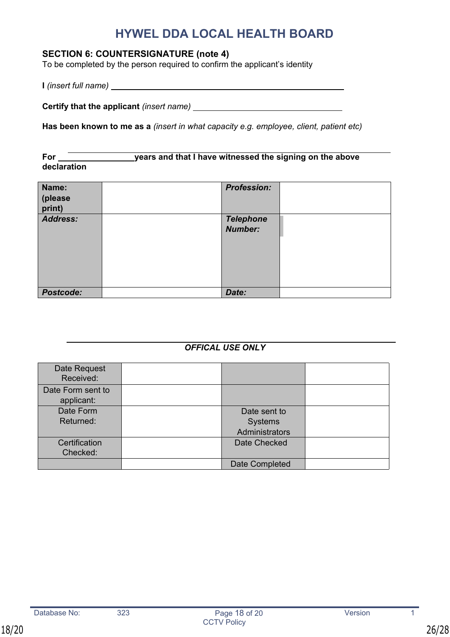# **SECTION 6: COUNTERSIGNATURE (note 4)**

To be completed by the person required to confirm the applicant's identity

**I** *(insert full name)* 

**Certify that the applicant** *(insert name)* 

**Has been known to me as a** *(insert in what capacity e.g. employee, client, patient etc)*

For <u>Community Sears and that I have witnessed the signing on the above</u> **declaration**

| Name:<br>(please<br>print) | <b>Profession:</b>                 |  |
|----------------------------|------------------------------------|--|
| <b>Address:</b>            | <b>Telephone</b><br><b>Number:</b> |  |
| <b>Postcode:</b>           | Date:                              |  |

### *OFFICAL USE ONLY*

| Date Request<br>Received: |                |  |
|---------------------------|----------------|--|
| Date Form sent to         |                |  |
| applicant:                |                |  |
| Date Form                 | Date sent to   |  |
| Returned:                 | Systems        |  |
|                           | Administrators |  |
| Certification             | Date Checked   |  |
| Checked:                  |                |  |
|                           | Date Completed |  |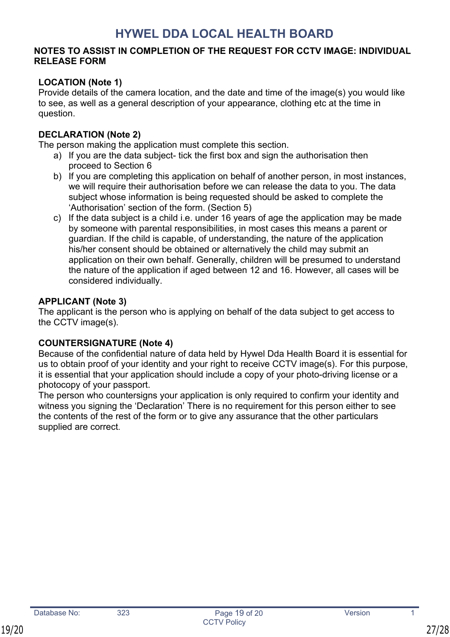### **NOTES TO ASSIST IN COMPLETION OF THE REQUEST FOR CCTV IMAGE: INDIVIDUAL RELEASE FORM**

# **LOCATION (Note 1)**

Provide details of the camera location, and the date and time of the image(s) you would like to see, as well as a general description of your appearance, clothing etc at the time in question.

# **DECLARATION (Note 2)**

The person making the application must complete this section.

- a) If you are the data subject- tick the first box and sign the authorisation then proceed to Section 6
- b) If you are completing this application on behalf of another person, in most instances, we will require their authorisation before we can release the data to you. The data subject whose information is being requested should be asked to complete the 'Authorisation' section of the form. (Section 5)
- c) If the data subject is a child i.e. under 16 years of age the application may be made by someone with parental responsibilities, in most cases this means a parent or guardian. If the child is capable, of understanding, the nature of the application his/her consent should be obtained or alternatively the child may submit an application on their own behalf. Generally, children will be presumed to understand the nature of the application if aged between 12 and 16. However, all cases will be considered individually.

# **APPLICANT (Note 3)**

The applicant is the person who is applying on behalf of the data subject to get access to the CCTV image(s).

# **COUNTERSIGNATURE (Note 4)**

Because of the confidential nature of data held by Hywel Dda Health Board it is essential for us to obtain proof of your identity and your right to receive CCTV image(s). For this purpose, it is essential that your application should include a copy of your photo-driving license or a photocopy of your passport.

The person who countersigns your application is only required to confirm your identity and witness you signing the 'Declaration' There is no requirement for this person either to see the contents of the rest of the form or to give any assurance that the other particulars supplied are correct.